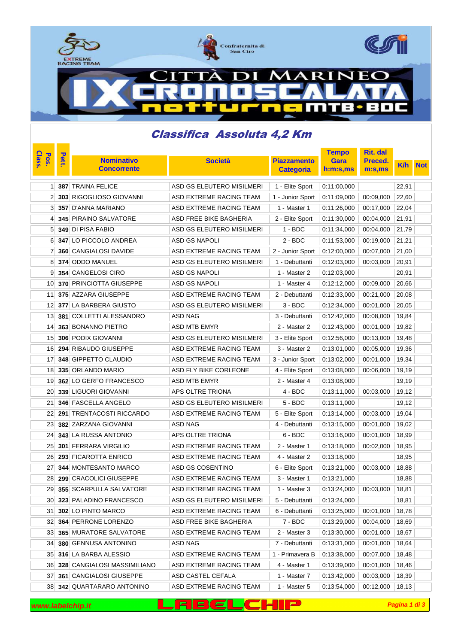

mTB

Е П

 $\bullet$ 

## Classifica Assoluta 4,2 Km

| Class.<br>Pos.  | Pett. |                                |                           |                    |                                                 | <b>Rit. dal</b><br><b>Tempo</b> |       |            |
|-----------------|-------|--------------------------------|---------------------------|--------------------|-------------------------------------------------|---------------------------------|-------|------------|
|                 |       | <b>Nominativo</b>              | <b>Società</b>            | <b>Piazzamento</b> | Gara                                            | <b>Preced.</b>                  | K/h   | <b>Not</b> |
|                 |       | <b>Concorrente</b>             |                           | <b>Categoria</b>   | h:m:s,ms                                        | m:s, ms                         |       |            |
| 11              |       | 387 TRAINA FELICE              | ASD GS ELEUTERO MISILMERI | 1 - Elite Sport    | 0:11:00,000                                     |                                 | 22,91 |            |
| 2 <sup>1</sup>  |       | 303 RIGOGLIOSO GIOVANNI        | ASD EXTREME RACING TEAM   | 1 - Junior Sport   | 0:11:09,000                                     | 00:09,000                       | 22,60 |            |
| 3               |       | 357 D'ANNA MARIANO             | ASD EXTREME RACING TEAM   | 1 - Master 1       | 0:11:26,000                                     | 00:17,000                       | 22,04 |            |
| $\mathbf{4}$    |       | 345 PIRAINO SALVATORE          | ASD FREE BIKE BAGHERIA    | 2 - Elite Sport    | 0:11:30,000                                     | 00:04,000                       | 21,91 |            |
| 51              |       | 349 DI PISA FABIO              | ASD GS ELEUTERO MISILMERI | 1 - BDC            | 0:11:34,000                                     | 00:04,000                       | 21,79 |            |
| 6               |       | 347 LO PICCOLO ANDREA          | <b>ASD GS NAPOLI</b>      | $2 - BDC$          | 0:11:53,000                                     | 00:19,000                       | 21,21 |            |
| 7               |       | 360 CANGIALOSI DAVIDE          | ASD EXTREME RACING TEAM   | 2 - Junior Sport   | 0:12:00,000                                     | 00:07,000                       | 21,00 |            |
| 8               |       | 374 ODDO MANUEL                | ASD GS ELEUTERO MISILMERI | 1 - Debuttanti     | 0:12:03,000                                     | 00:03,000                       | 20,91 |            |
| 9               |       | 354 CANGELOSI CIRO             | ASD GS NAPOLI             | 1 - Master 2       | 0:12:03,000                                     |                                 | 20,91 |            |
| 10              |       | <b>370 PRINCIOTTA GIUSEPPE</b> | <b>ASD GS NAPOLI</b>      | 1 - Master 4       | 0:12:12,000                                     | 00:09,000                       | 20,66 |            |
| 11              |       | 375 AZZARA GIUSEPPE            | ASD EXTREME RACING TEAM   | 2 - Debuttanti     | 0:12:33,000                                     | 00:21,000                       | 20,08 |            |
| 12 <sub>1</sub> |       | 377 LA BARBERA GIUSTO          | ASD GS ELEUTERO MISILMERI | 3 - BDC            | 0:12:34,000                                     | 00:01,000                       | 20,05 |            |
| 13 <sup>1</sup> |       | 381 COLLETTI ALESSANDRO        | ASD NAG                   | 3 - Debuttanti     | 0:12:42,000                                     | 00:08,000                       | 19,84 |            |
| 14              |       | 363 BONANNO PIETRO             | ASD MTB EMYR              | 2 - Master 2       | 0:12:43,000                                     | 00:01.000                       | 19,82 |            |
| 15 <sub>l</sub> |       | 306 PODIX GIOVANNI             | ASD GS ELEUTERO MISILMERI | 3 - Elite Sport    | 0:12:56,000                                     | 00:13,000                       | 19,48 |            |
| 16              |       | 294 RIBAUDO GIUSEPPE           | ASD EXTREME RACING TEAM   | 3 - Master 2       | 0:13:01,000                                     | 00:05,000                       | 19,36 |            |
| 17 <sup>1</sup> |       | 348 GIPPETTO CLAUDIO           | ASD EXTREME RACING TEAM   | 3 - Junior Sport   | 0:13:02,000                                     | 00:01,000                       | 19,34 |            |
| 18              |       | 335 ORLANDO MARIO              | ASD FLY BIKE CORLEONE     | 4 - Elite Sport    | 0:13:08,000                                     | 00:06,000                       | 19,19 |            |
| 19              |       | 362 LO GERFO FRANCESCO         | <b>ASD MTB EMYR</b>       | 2 - Master 4       | 0:13:08,000                                     |                                 | 19,19 |            |
| 20              |       | 339 LIGUORI GIOVANNI           | APS OLTRE TRIONA          | 4 - BDC            | 0:13:11,000                                     | 00:03,000                       | 19,12 |            |
| 21              |       | 346 FASCELLA ANGELO            | ASD GS ELEUTERO MISILMERI | $5 - BDC$          | 0:13:11,000                                     |                                 | 19,12 |            |
| 22              |       | 291 TRENTACOSTI RICCARDO       | ASD EXTREME RACING TEAM   | 5 - Elite Sport    | 0:13:14,000                                     | 00:03,000                       | 19,04 |            |
| 23              |       | 382 ZARZANA GIOVANNI           | ASD NAG                   | 4 - Debuttanti     | 0:13:15,000                                     | 00:01,000                       | 19,02 |            |
| 24              |       | <b>343 LA RUSSA ANTONIO</b>    | APS OLTRE TRIONA          | 6 - BDC            | 0:13:16,000                                     | 00:01,000                       | 18,99 |            |
| 25 <sub>1</sub> |       | 301 FERRARA VIRGILIO           | ASD EXTREME RACING TEAM   | 2 - Master 1       | 0:13:18,000                                     | 00:02,000                       | 18,95 |            |
| 26              |       | 293 FICAROTTA ENRICO           | ASD EXTREME RACING TEAM   | 4 - Master 2       | 0:13:18,000                                     |                                 | 18,95 |            |
| 27              |       | <b>344 MONTESANTO MARCO</b>    | ASD GS COSENTINO          | 6 - Elite Sport    | 0:13:21,000                                     | 00:03,000                       | 18,88 |            |
|                 |       | 28 299 CRACOLICI GIUSEPPE      | ASD EXTREME RACING TEAM   | 3 - Master 1       | 0:13:21,000                                     |                                 | 18,88 |            |
|                 |       | 29 355 SCARPULLA SALVATORE     | ASD EXTREME RACING TEAM   | 1 - Master 3       | $\vert 0.13.24,000 \vert 00.03,000 \vert 18,81$ |                                 |       |            |
| 30              |       | 323 PALADINO FRANCESCO         | ASD GS ELEUTERO MISILMERI | 5 - Debuttanti     | 0:13:24,000                                     |                                 | 18,81 |            |
| 31              |       | 302 LO PINTO MARCO             | ASD EXTREME RACING TEAM   | 6 - Debuttanti     | 0:13:25,000                                     | 00:01,000                       | 18,78 |            |
|                 |       | 32 364 PERRONE LORENZO         | ASD FREE BIKE BAGHERIA    | $7 - BDC$          | 0:13:29,000                                     | 00:04,000                       | 18,69 |            |
|                 |       | 33 365 MURATORE SALVATORE      | ASD EXTREME RACING TEAM   | 2 - Master 3       | 0:13:30,000                                     | 00:01,000                       | 18,67 |            |
| 34              |       | 380 GENNUSA ANTONINO           | ASD NAG                   | 7 - Debuttanti     | 0:13:31,000                                     | 00:01,000                       | 18,64 |            |
| 35              |       | 316 LA BARBA ALESSIO           | ASD EXTREME RACING TEAM   | 1 - Primavera B    | 0:13:38,000                                     | 00:07,000                       | 18,48 |            |
|                 |       | 36 328 CANGIALOSI MASSIMILIANO | ASD EXTREME RACING TEAM   | 4 - Master 1       | 0:13:39,000                                     | 00:01,000                       | 18,46 |            |
| 37              |       | <b>361 CANGIALOSI GIUSEPPE</b> | ASD CASTEL CEFALA         | 1 - Master 7       | 0:13:42,000                                     | 00:03,000                       | 18,39 |            |
| 38              |       | 342 QUARTARARO ANTONINO        | ASD EXTREME RACING TEAM   | 1 - Master 5       | 0:13:54,000                                     | 00:12,000                       | 18,13 |            |

| www.labelchip.it | LFBELCHIP |  |  |
|------------------|-----------|--|--|
|------------------|-----------|--|--|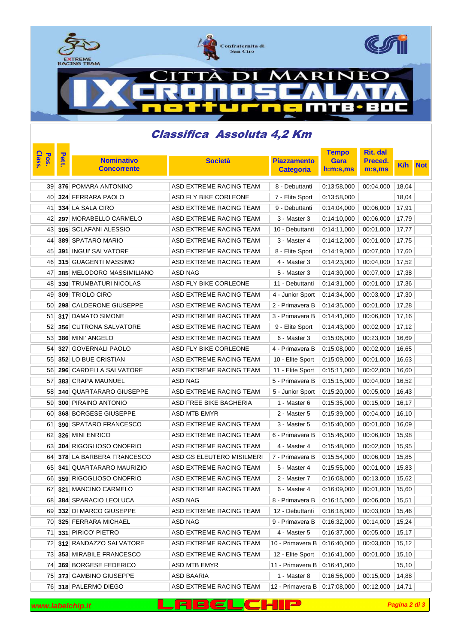

mTB

Е П

 $\bullet$ 

## Classifica Assoluta 4,2 Km

| Class.<br>Pos. | <b>Pett</b> |                                |                           |                    |                               | <b>Rit. dal</b><br><b>Tempo</b> |       |            |
|----------------|-------------|--------------------------------|---------------------------|--------------------|-------------------------------|---------------------------------|-------|------------|
|                |             | <b>Nominativo</b>              | <b>Società</b>            | <b>Piazzamento</b> | Gara                          | Preced.                         | K/h   | <b>Not</b> |
|                |             | <b>Concorrente</b>             |                           | <b>Categoria</b>   | h:m:s,ms                      | m:s, ms                         |       |            |
| 39             |             | 376 POMARA ANTONINO            | ASD EXTREME RACING TEAM   | 8 - Debuttanti     | 0:13:58,000                   | 00:04,000                       | 18,04 |            |
| 40             |             | <b>324 FERRARA PAOLO</b>       | ASD FLY BIKE CORLEONE     | 7 - Elite Sport    | 0:13:58,000                   |                                 | 18,04 |            |
| 41             |             | 334 LA SALA CIRO               | ASD EXTREME RACING TEAM   | 9 - Debuttanti     | 0:14:04,000                   | 00:06,000                       | 17,91 |            |
| 42             |             | 297 MORABELLO CARMELO          | ASD EXTREME RACING TEAM   | 3 - Master 3       | 0:14:10,000                   | 00:06,000                       | 17,79 |            |
| 43             |             | 305 SCLAFANI ALESSIO           | ASD EXTREME RACING TEAM   | 10 - Debuttanti    | 0.14:11,000                   | 00:01,000                       | 17,77 |            |
| 44             |             | <b>389 SPATARO MARIO</b>       | ASD EXTREME RACING TEAM   | 3 - Master 4       | 0:14:12,000                   | 00:01,000                       | 17,75 |            |
| 45             |             | <b>391 INGUI SALVATORE</b>     | ASD EXTREME RACING TEAM   | 8 - Elite Sport    | 0.14:19,000                   | 00:07,000                       | 17,60 |            |
| 46             |             | 315 GUAGENTI MASSIMO           | ASD EXTREME RACING TEAM   | 4 - Master 3       | 0:14:23,000                   | 00:04,000                       | 17,52 |            |
| 47             |             | 385 MELODORO MASSIMILIANO      | ASD NAG                   | 5 - Master 3       | 0:14:30,000                   | 00:07,000                       | 17,38 |            |
| 48             |             | <b>330 TRUMBATURI NICOLAS</b>  | ASD FLY BIKE CORLEONE     | 11 - Debuttanti    | 0:14:31,000                   | 00:01,000                       | 17,36 |            |
| 49             |             | 309 TRIOLO CIRO                | ASD EXTREME RACING TEAM   | 4 - Junior Sport   | 0:14:34,000                   | 00:03,000                       | 17,30 |            |
| 50             |             | 298 CALDERONE GIUSEPPE         | ASD EXTREME RACING TEAM   | 2 - Primavera B    | 0:14:35,000                   | 00:01,000                       | 17,28 |            |
| 51             |             | 317 DAMATO SIMONE              | ASD EXTREME RACING TEAM   | 3 - Primavera B    | 0:14:41,000                   | 00:06,000                       | 17,16 |            |
| 52             |             | <b>356 CUTRONA SALVATORE</b>   | ASD EXTREME RACING TEAM   | 9 - Elite Sport    | 0.14:43,000                   | 00:02,000                       | 17,12 |            |
| 53             |             | 386 MINI' ANGELO               | ASD EXTREME RACING TEAM   | 6 - Master 3       | 0:15:06,000                   | 00:23,000                       | 16,69 |            |
| 54             |             | 327 GOVERNALI PAOLO            | ASD FLY BIKE CORLEONE     | 4 - Primavera B    | 0:15:08,000                   | 00:02,000                       | 16,65 |            |
| 55             |             | 352 LO BUE CRISTIAN            | ASD EXTREME RACING TEAM   | 10 - Elite Sport   | 0:15:09,000                   | 00:01,000                       | 16,63 |            |
| 56             |             | 296 CARDELLA SALVATORE         | ASD EXTREME RACING TEAM   | 11 - Elite Sport   | 0:15:11,000                   | 00:02,000                       | 16,60 |            |
| 57             |             | <b>383 CRAPA MAUNUEL</b>       | ASD NAG                   | 5 - Primavera B    | 0:15:15,000                   | 00:04,000                       | 16,52 |            |
| 58             |             | <b>340 QUARTARARO GIUSEPPE</b> | ASD EXTREME RACING TEAM   | 5 - Junior Sport   | 0:15:20,000                   | 00:05,000                       | 16,43 |            |
| 59             |             | 300 PIRAINO ANTONIO            | ASD FREE BIKE BAGHERIA    | 1 - Master 6       | 0:15:35,000                   | 00:15,000                       | 16,17 |            |
| 60             |             | <b>368 BORGESE GIUSEPPE</b>    | ASD MTB EMYR              | 2 - Master 5       | 0:15:39,000                   | 00:04,000                       | 16,10 |            |
| 61             |             | <b>390 SPATARO FRANCESCO</b>   | ASD EXTREME RACING TEAM   | 3 - Master 5       | 0:15:40,000                   | 00:01,000                       | 16,09 |            |
| 62             |             | 326 MINI ENRICO                | ASD EXTREME RACING TEAM   | 6 - Primavera B    | 0:15:46,000                   | 00:06,000                       | 15,98 |            |
| 63             |             | 304 RIGOGLIOSO ONOFRIO         | ASD EXTREME RACING TEAM   | 4 - Master 4       | 0:15:48,000                   | 00:02,000                       | 15,95 |            |
| 64             |             | 378 LA BARBERA FRANCESCO       | ASD GS ELEUTERO MISILMERI | 7 - Primavera B    | 0:15:54,000                   | 00:06,000                       | 15,85 |            |
| 65             |             | <b>341 QUARTARARO MAURIZIO</b> | ASD EXTREME RACING TEAM   | 5 - Master 4       | 0:15:55,000                   | 00:01,000                       | 15,83 |            |
|                |             | 66 359 RIGOGLIOSO ONOFRIO      | ASD EXTREME RACING TEAM   | 2 - Master 7       | 0:16:08,000                   | 00:13,000                       | 15,62 |            |
| 67             |             | 321 MANCINO CARMELO            | ASD EXTREME RACING TEAM   | 6 - Master 4       | $0.16.09,000$ 00:01,000 15,60 |                                 |       |            |
| 68             |             | <b>384 SPARACIO LEOLUCA</b>    | ASD NAG                   | 8 - Primavera B    | 0:16:15,000                   | 00:06,000                       | 15,51 |            |
| 69             |             | 332 DI MARCO GIUSEPPE          | ASD EXTREME RACING TEAM   | 12 - Debuttanti    | 0:16:18,000                   | 00:03,000                       | 15,46 |            |
| 70             |             | 325 FERRARA MICHAEL            | ASD NAG                   | 9 - Primavera B    | 0:16:32,000                   | 00:14,000                       | 15,24 |            |
| 71             |             | 331 PIRICO' PIETRO             | ASD EXTREME RACING TEAM   | 4 - Master 5       | 0:16:37,000                   | 00:05,000                       | 15,17 |            |
| 72             |             | 312 RANDAZZO SALVATORE         | ASD EXTREME RACING TEAM   | 10 - Primavera B   | 0:16:40,000                   | 00:03,000                       | 15,12 |            |
| 73             |             | 353 MIRABILE FRANCESCO         | ASD EXTREME RACING TEAM   | 12 - Elite Sport   | 0:16:41,000                   | 00:01,000                       | 15,10 |            |
| 74             |             | 369 BORGESE FEDERICO           | ASD MTB EMYR              | 11 - Primavera B   | 0:16:41,000                   |                                 | 15,10 |            |
| 75             |             | 373 GAMBINO GIUSEPPE           | ASD BAARIA                | 1 - Master 8       | 0:16:56,000                   | 00:15,000                       | 14,88 |            |
| 76             |             | 318 PALERMO DIEGO              | ASD EXTREME RACING TEAM   | 12 - Primavera B   | 0:17:08,000                   | 00:12,000                       | 14,71 |            |

| www.labelchip.it | LABELCHIP |  |  |
|------------------|-----------|--|--|
|------------------|-----------|--|--|